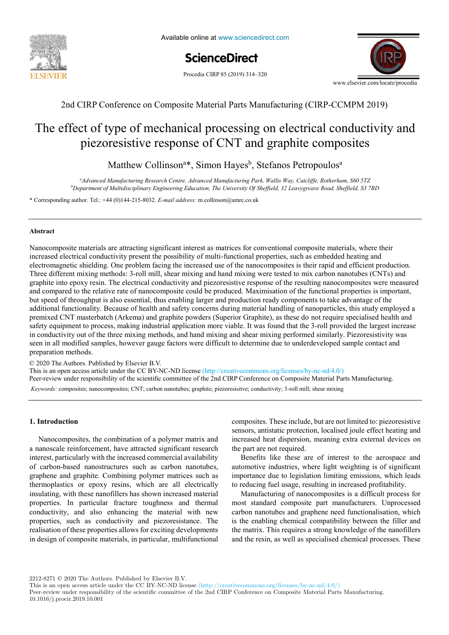

Available online at www.sciencedirect.com

# ScienceDirect

Procedia CIRP 85 (2019) 314-320



# 2nd CIRP Conference on Composite Material Parts Manufacturing (CIRP-CCMPM 2019) 2nd CIRP Conference on Composite Material Parts Manufacturing 2nd CIRP Conference on Composite Material Parts Manufacturing

# The effect of type of mechanical processing on electrical conductivity and prezonesistive response of CIVI and graphite composites piezoresistive response of CNT and graphite composites piezoresistive response of CNT and graphite composites

# Matthew Collinson<sup>a\*</sup>, Simon Hayes<sup>b</sup>, Stefanos Petropoulos<sup>a</sup>

Paul Stief \*, Jean-Yves Dantan, Alain Etienne, Ali Siadat *b Department of Multidisciplinary Engineering Education, The University Of Sheffield, 32 Leavygreave Road, Sheffield, S3 7RD Advanced Manufacturing Research Centre, Advanced Manufacturing Park, Wallis Way, Catcliffe, Rotherham, S60 5TZ* a Advanced Manufacturing Research Centre, Advanced Manufacturing Park, Wallis Way, Catcliffe, Rotherham, S60 5TZ

*École Nationale Supérieure d'Arts et Métiers, Arts et Métiers ParisTech, LCFC EA 4495, 4 Rue Augustin Fresnel, Metz 57078, France*  \* Corresponding author. Tel.: +44 (0)144-215-8032. *E-mail address:* m.collinson@amrc.co.uk \* Corresponding author. Tel.: +44 (0)144-215-8032. *E-mail address:* m.collinson@amrc.co.uk

# **Abstract Abstract**

increased electrical conductivity present the possibility of multi-functional properties, such as embedded heating and  $\frac{1}{2}$  and  $\frac{1}{2}$  and  $\frac{1}{2}$  and  $\frac{1}{2}$  and  $\frac{1}{2}$  and  $\frac{1}{2}$  and  $\frac{1}{2}$  and  $\frac{1}{2}$  and  $\frac{1}{2}$  and  $\frac{1}{2}$  and  $\frac{1}{2}$  and  $\frac{1}{2}$  and  $\frac{1}{2}$  and  $\frac{1}{2}$  and  $\frac{1}{2}$  and  $\frac{1}{2}$  a and reconfiguration systems  $\sigma$  reconfiguration systems emerged to configuration systems emerged to cope with various products  $\sigma$ systems and product matches the optimal product matches are needed. In the contract matches are needed. In the contract methods and the known methods are needed. In the known methods and the known methods are needed. In th and compared to the relative rate of nanocomposite could be produced. Maximisation of the functional properties is important, but speed of throughput is also essential, thus enabling larger and production ready components to take advantage of the a duritional functionality. Because of health and safety concerns during material nandmig of hanoparticles, this study employed a premixed CNT masterbatch (Arkenia) and graphite powders (superior Graphite), as these do not require specialised nearly and sarety equipment to process, making industrial application more viable. It was found that the 3-full provided the largest increase in conductivity out of the three mixing methods, and hand mixing and shear mixing performed similarly. Plezoresistivity was seen in all modified samples, however gauge factors were difficult to determine due to underdeveloped sample contact and seen in an industrial samples, nowever gauge factors were unfiled to determine due to underdeveloped sample columns and preparation methods. Nanocomposite materials are attracting significant interest as matrices for conventional composite materials, where their electromagnetic shielding. One problem facing the increased use of the nanocomposites is their rapid and efficient production. Three different mixing methods: 3-roll mill, shear mixing and hand mixing were tested to mix carbon nanotubes (CNTs) and<br>creatity into energy axia. The cleativist can dustinity and ningenseighting accessors of the paraling graphite into epoxy resin. The electrical conductivity and piezoresistive response of the resulting nanocomposites were measured<br>and compared to the relative rate of nanocomposite cauld be unduced. Maximization of the func additional functionality. Because of health and safety concerns during material handling of nanoparticles, this study employed a additional functionality. Because of health and safety concerns during material handling of n additional functionality. Because of health and safety concerns during material handling of hanoparticles, this study employed a<br>premixed CNT masterbatch (Arkema) and graphite powders (Superior Graphite), as these do not r premixed CIVI masteroaten (Arkenia) and graphite powders (Superior Graphite), as these do not require specialised health and<br>safety equipment to process, making industrial application more viable. It was found that the 3-r in conductivity out of the three mixing methods, and hand mixing and shear mixing performed similarly. Piezoresistivity was seen in all modified samples, however gauge factors were difficult to determine due to underdeveloped sample contact and

© 2020 The Authors. Published by Elsevier B.V.

*Keywords:* Assembly; Design method; Family identification

This is an open access article under the CC BY-NC-ND license (http://creativecommons.org/licenses/by-nc-nd/4.0/) Peer-review under responsibility of the scientific committee of the 2nd CIRP Conference on Composite Material Parts Manufacturing. *Keywords:* composites; nanocomposites; CNT; carbon nanotubes; graphite; piezoresisitve; conductivity; 3-roll mill; shear mixing

#### **1. Introduction 1. Introduction 1. Introduction**

Nanocomposites, the combination of a polymer matrix and<br>a nanoscale reinforcement, have attracted significant research a nanoscale reinforcement, have altacted significant research merest, particularly with the increased commercial availability<br>of carbon-based nanostructures such as carbon nanotubes, of carbon-based nanostructures such as carbon-hanotubes, graphene and graphite. Combining polymer matrices such as graphene and graphite. Combining polymer matrices such as<br>thermoplastics or epoxy resins, which are all electrically insulating, with these nanofillers has shown increased material insulating, with these nanofillers has shown increased material msulating, with these nanofiners has shown increased material properties. In particular fracture toughness and thermal properties. In particular fracture toughness and thermal conductivity, and also enhancing the material with new properties, such as conductivity and piezoresistance. The properties, such as conductivity and prezerosistance. The realisation of these properties allows for exciting developments in design of composite materials, in particular, multifunctional in  $\mathcal{C}$  and  $\mathcal{C}$  are to be able to be able to be able to be able to be able to be able to be able to be able to be able to be able to be able to be able to be able to be able to be able to be able to be able to be ab Nanocomposites, the combination of a polymer matrix and in design of composite materials, in particular, multifunctional

composites. These include, but are not limited to: piezoresistive sensors, antistatic protection, localised joule effect heating and increased heat dispersion, meaning extra external devices on increased heat dispersion, meaning extra external devices on the part are not required. composites. These include, but are not limited to: piezoresistive mercased heat dispersion, meaning extra external devices on

Benefits like these are of interest to the aerospace and benefits like these are of interest to the aerospace and automotive industries, where light weighting is of significant importance due to legislation limiting emissions, which leads mportance due to regislation miniting emissions, which redus<br>to reducing fuel usage, resulting in increased profitability.

to reducing fuel usage, resulting in increased profitability.<br>Manufacturing of nanocomposites is a difficult process for mainlated and given main composites is a difficult process for most standard composite part manufacturers. Unprocessed most standard component part manufacturers. Unprocessed carbon nanotubes and graphene need functionalisation, which extraction nanotubes and graphene need randomalisation, which is the enabling chemical compatibility between the filler and the matrix. This requires a strong knowledge of the nanofillers and the resin, as well as specialised chemical processes. These and the resin, as well as specialised chemical processes. production structure on a physical level (components level) which is the structure on  $\mathbf{r}$ and the resin, as well as specialised chemical processes. These

2212-8271 © 2020 The Authors. Published by Elsevier B.V.

Peer-review under responsibility of the scientific committee of the 2nd CIRP Conference on Composite Material Parts Manufacturing. 10.1016/j.procir.2019.10.001

This is an open access article under the CC BY-NC-ND license (http://creativecommons.org/licenses/by-nc-nd/4.0/)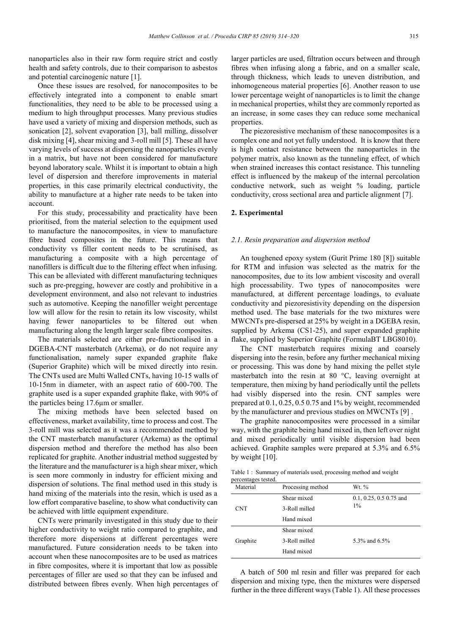nanoparticles also in their raw form require strict and costly health and safety controls, due to their comparison to asbestos and potential carcinogenic nature [1].

Once these issues are resolved, for nanocomposites to be effectively integrated into a component to enable smart functionalities, they need to be able to be processed using a medium to high throughput processes. Many previous studies have used a variety of mixing and dispersion methods, such as sonication [2], solvent evaporation [3], ball milling, dissolver disk mixing [4], shear mixing and 3-roll mill [5]. These all have varying levels of success at dispersing the nanoparticles evenly in a matrix, but have not been considered for manufacture beyond laboratory scale. Whilst it is important to obtain a high level of dispersion and therefore improvements in material properties, in this case primarily electrical conductivity, the ability to manufacture at a higher rate needs to be taken into account.

For this study, processability and practicality have been prioritised, from the material selection to the equipment used to manufacture the nanocomposites, in view to manufacture fibre based composites in the future. This means that conductivity vs filler content needs to be scrutinised, as manufacturing a composite with a high percentage of nanofillers is difficult due to the filtering effect when infusing. This can be alleviated with different manufacturing techniques such as pre-pregging, however are costly and prohibitive in a development environment, and also not relevant to industries such as automotive. Keeping the nanofiller weight percentage low will allow for the resin to retain its low viscosity, whilst having fewer nanoparticles to be filtered out when manufacturing along the length larger scale fibre composites.

The materials selected are either pre-functionalised in a DGEBA-CNT masterbatch (Arkema), or do not require any functionalisation, namely super expanded graphite flake (Superior Graphite) which will be mixed directly into resin. The CNTs used are Multi Walled CNTs, having 10-15 walls of 10-15nm in diameter, with an aspect ratio of 600-700. The graphite used is a super expanded graphite flake, with 90% of the particles being 17.6µm or smaller.

The mixing methods have been selected based on effectiveness, market availability, time to process and cost. The 3-roll mill was selected as it was a recommended method by the CNT masterbatch manufacturer (Arkema) as the optimal dispersion method and therefore the method has also been replicated for graphite. Another industrial method suggested by the literature and the manufacturer is a high shear mixer, which is seen more commonly in industry for efficient mixing and dispersion of solutions. The final method used in this study is hand mixing of the materials into the resin, which is used as a low effort comparative baseline, to show what conductivity can be achieved with little equipment expenditure.

CNTs were primarily investigated in this study due to their higher conductivity to weight ratio compared to graphite, and therefore more dispersions at different percentages were manufactured. Future consideration needs to be taken into account when these nanocomposites are to be used as matrices in fibre composites, where it is important that low as possible percentages of filler are used so that they can be infused and distributed between fibres evenly. When high percentages of

larger particles are used, filtration occurs between and through fibres when infusing along a fabric, and on a smaller scale, through thickness, which leads to uneven distribution, and inhomogeneous material properties [6]. Another reason to use lower percentage weight of nanoparticles is to limit the change in mechanical properties, whilst they are commonly reported as an increase, in some cases they can reduce some mechanical properties.

The piezoresistive mechanism of these nanocomposites is a complex one and not yet fully understood. It is know that there is high contact resistance between the nanoparticles in the polymer matrix, also known as the tunneling effect, of which when strained increases this contact resistance. This tunneling effect is influenced by the makeup of the internal percolation conductive network, such as weight % loading, particle conductivity, cross sectional area and particle alignment [7].

#### **2. Experimental**

#### *2.1. Resin preparation and dispersion method*

An toughened epoxy system (Gurit Prime 180 [8]) suitable for RTM and infusion was selected as the matrix for the nanocomposites, due to its low ambient viscosity and overall high processability. Two types of nanocomposites were manufactured, at different percentage loadings, to evaluate conductivity and piezoresistivity depending on the dispersion method used. The base materials for the two mixtures were MWCNTs pre-dispersed at 25% by weight in a DGEBA resin, supplied by Arkema (CS1-25), and super expanded graphite flake, supplied by Superior Graphite (FormulaBT LBG8010).

The CNT masterbatch requires mixing and coarsely dispersing into the resin, before any further mechanical mixing or processing. This was done by hand mixing the pellet style masterbatch into the resin at 80 °C, leaving overnight at temperature, then mixing by hand periodically until the pellets had visibly dispersed into the resin. CNT samples were prepared at 0.1, 0.25, 0.5 0.75 and 1% by weight, recommended by the manufacturer and previous studies on MWCNTs [9] .

The graphite nanocomposites were processed in a similar way, with the graphite being hand mixed in, then left over night and mixed periodically until visible dispersion had been achieved. Graphite samples were prepared at 5.3% and 6.5% by weight [10].

Table 1 : Summary of materials used, processing method and weight percentages tested.

| Material   | Processing method | Wt. %                      |  |
|------------|-------------------|----------------------------|--|
|            | Shear mixed       | $0.1, 0.25, 0.5, 0.75$ and |  |
| <b>CNT</b> | 3-Roll milled     | $1\%$                      |  |
|            | Hand mixed        |                            |  |
|            | Shear mixed       |                            |  |
| Graphite   | 3-Roll milled     | 5.3% and 6.5%              |  |
|            | Hand mixed        |                            |  |

A batch of 500 ml resin and filler was prepared for each dispersion and mixing type, then the mixtures were dispersed further in the three different ways (Table 1). All these processes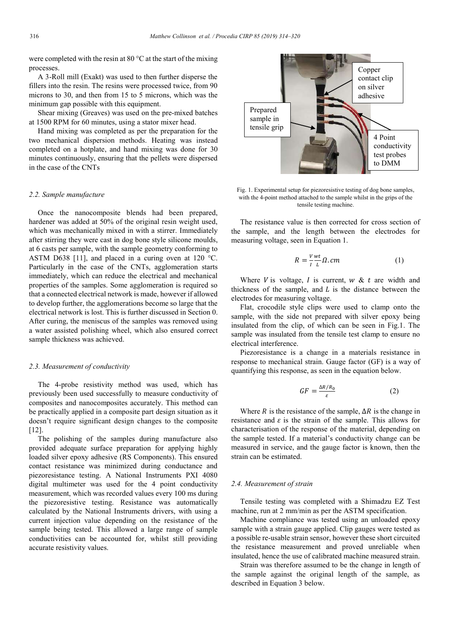were completed with the resin at 80 °C at the start of the mixing processes.

A 3-Roll mill (Exakt) was used to then further disperse the fillers into the resin. The resins were processed twice, from 90 microns to 30, and then from 15 to 5 microns, which was the minimum gap possible with this equipment.

Shear mixing (Greaves) was used on the pre-mixed batches at 1500 RPM for 60 minutes, using a stator mixer head.

Hand mixing was completed as per the preparation for the two mechanical dispersion methods. Heating was instead completed on a hotplate, and hand mixing was done for 30 minutes continuously, ensuring that the pellets were dispersed in the case of the CNTs

#### *2.2. Sample manufacture*

Once the nanocomposite blends had been prepared, hardener was added at 50% of the original resin weight used, which was mechanically mixed in with a stirrer. Immediately after stirring they were cast in dog bone style silicone moulds, at 6 casts per sample, with the sample geometry conforming to ASTM D638 [11], and placed in a curing oven at 120 °C. Particularly in the case of the CNTs, agglomeration starts immediately, which can reduce the electrical and mechanical properties of the samples. Some agglomeration is required so that a connected electrical network is made, however if allowed to develop further, the agglomerations become so large that the electrical network is lost. This is further discussed in Section 0. After curing, the meniscus of the samples was removed using a water assisted polishing wheel, which also ensured correct sample thickness was achieved.

### *2.3. Measurement of conductivity*

The 4-probe resistivity method was used, which has previously been used successfully to measure conductivity of composites and nanocomposites accurately. This method can be practically applied in a composite part design situation as it doesn't require significant design changes to the composite [12].

The polishing of the samples during manufacture also provided adequate surface preparation for applying highly loaded silver epoxy adhesive (RS Components). This ensured contact resistance was minimized during conductance and piezoresistance testing. A National Instruments PXI 4080 digital multimeter was used for the 4 point conductivity measurement, which was recorded values every 100 ms during the piezoresistive testing. Resistance was automatically calculated by the National Instruments drivers, with using a current injection value depending on the resistance of the sample being tested. This allowed a large range of sample conductivities can be accounted for, whilst still providing accurate resistivity values.



Fig. 1. Experimental setup for piezoresistive testing of dog bone samples, with the 4-point method attached to the sample whilst in the grips of the tensile testing machine.

The resistance value is then corrected for cross section of the sample, and the length between the electrodes for measuring voltage, seen in Equation 1.

$$
R = \frac{V}{I} \frac{wt}{L} \Omega \cdot cm \tag{1}
$$

Where  $V$  is voltage,  $I$  is current,  $W \& t$  are width and thickness of the sample, and  $L$  is the distance between the electrodes for measuring voltage.

Flat, crocodile style clips were used to clamp onto the sample, with the side not prepared with silver epoxy being insulated from the clip, of which can be seen in Fig.1. The sample was insulated from the tensile test clamp to ensure no electrical interference.

Piezoresistance is a change in a materials resistance in response to mechanical strain. Gauge factor (GF) is a way of quantifying this response, as seen in the equation below.

$$
GF = \frac{\Delta R/R_0}{\varepsilon} \tag{2}
$$

Where  $R$  is the resistance of the sample,  $\Delta R$  is the change in resistance and  $\varepsilon$  is the strain of the sample. This allows for characterisation of the response of the material, depending on the sample tested. If a material's conductivity change can be measured in service, and the gauge factor is known, then the strain can be estimated.

### *2.4. Measurement of strain*

Tensile testing was completed with a Shimadzu EZ Test machine, run at 2 mm/min as per the ASTM specification.

Machine compliance was tested using an unloaded epoxy sample with a strain gauge applied. Clip gauges were tested as a possible re-usable strain sensor, however these short circuited the resistance measurement and proved unreliable when insulated, hence the use of calibrated machine measured strain.

Strain was therefore assumed to be the change in length of the sample against the original length of the sample, as described in Equation 3 below.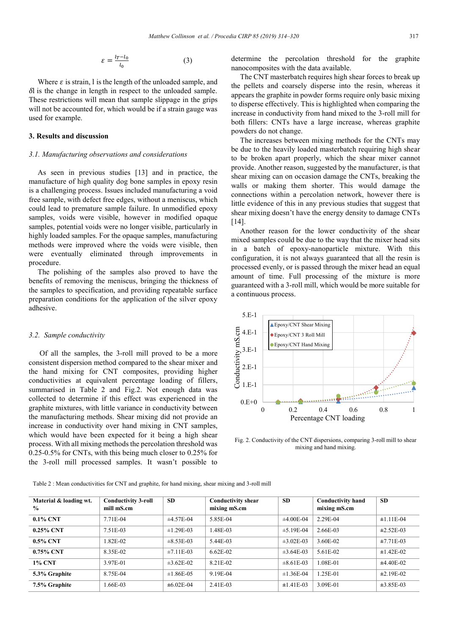$$
\varepsilon = \frac{l_T - l_0}{l_0} \tag{3}
$$

Where  $\varepsilon$  is strain, l is the length of the unloaded sample, and  $\delta$ l is the change in length in respect to the unloaded sample. These restrictions will mean that sample slippage in the grips will not be accounted for, which would be if a strain gauge was used for example.

## **3. Results and discussion**

#### *3.1. Manufacturing observations and considerations*

As seen in previous studies [13] and in practice, the manufacture of high quality dog bone samples in epoxy resin is a challenging process. Issues included manufacturing a void free sample, with defect free edges, without a meniscus, which could lead to premature sample failure. In unmodified epoxy samples, voids were visible, however in modified opaque samples, potential voids were no longer visible, particularly in highly loaded samples. For the opaque samples, manufacturing methods were improved where the voids were visible, then were eventually eliminated through improvements in procedure.

The polishing of the samples also proved to have the benefits of removing the meniscus, bringing the thickness of the samples to specification, and providing repeatable surface preparation conditions for the application of the silver epoxy adhesive.

### *3.2. Sample conductivity*

Of all the samples, the 3-roll mill proved to be a more consistent dispersion method compared to the shear mixer and the hand mixing for CNT composites, providing higher conductivities at equivalent percentage loading of fillers, summarised in Table 2 and Fig.2. Not enough data was collected to determine if this effect was experienced in the graphite mixtures, with little variance in conductivity between the manufacturing methods. Shear mixing did not provide an increase in conductivity over hand mixing in CNT samples, which would have been expected for it being a high shear process. With all mixing methods the percolation threshold was 0.25-0.5% for CNTs, with this being much closer to 0.25% for the 3-roll mill processed samples. It wasn't possible to determine the percolation threshold for the graphite nanocomposites with the data available.

The CNT masterbatch requires high shear forces to break up the pellets and coarsely disperse into the resin, whereas it appears the graphite in powder forms require only basic mixing to disperse effectively. This is highlighted when comparing the increase in conductivity from hand mixed to the 3-roll mill for both fillers: CNTs have a large increase, whereas graphite powders do not change.

The increases between mixing methods for the CNTs may be due to the heavily loaded masterbatch requiring high shear to be broken apart properly, which the shear mixer cannot provide. Another reason, suggested by the manufacturer, is that shear mixing can on occasion damage the CNTs, breaking the walls or making them shorter. This would damage the connections within a percolation network, however there is little evidence of this in any previous studies that suggest that shear mixing doesn't have the energy density to damage CNTs  $[14]$ .

Another reason for the lower conductivity of the shear mixed samples could be due to the way that the mixer head sits in a batch of epoxy-nanoparticle mixture. With this configuration, it is not always guaranteed that all the resin is processed evenly, or is passed through the mixer head an equal amount of time. Full processing of the mixture is more guaranteed with a 3-roll mill, which would be more suitable for a continuous process.



Fig. 2. Conductivity of the CNT dispersions, comparing 3-roll mill to shear mixing and hand mixing.

Table 2 : Mean conductivities for CNT and graphite, for hand mixing, shear mixing and 3-roll mill

| Material & loading wt.<br>$\frac{0}{0}$ | <b>Conductivity 3-roll</b><br>mill mS.cm | <b>SD</b>         | <b>Conductivity shear</b><br>mixing mS.cm | <b>SD</b>        | <b>Conductivity hand</b><br>mixing mS.cm | <b>SD</b>        |
|-----------------------------------------|------------------------------------------|-------------------|-------------------------------------------|------------------|------------------------------------------|------------------|
| $0.1\%$ CNT                             | 7.71E-04                                 | $±4.57E-04$       | 5.85E-04                                  | $±4.00E-04$      | 2.29E-04                                 | $±1.11E-04$      |
| $0.25\%$ CNT                            | 7.51E-03                                 | $\pm 1.29E - 03$  | 1.48E-03                                  | $\pm 5.19E - 04$ | 2.66E-03                                 | $\pm 2.52E - 03$ |
| $0.5\%$ CNT                             | $.82E - 02$                              | $\pm 8.53E - 03$  | 5.44E-03                                  | $\pm 3.02E - 03$ | 3.60E-02                                 | $\pm 7.71E - 03$ |
| $0.75\%$ CNT                            | 8.35E-02                                 | $\pm 7.11E - 03$  | $6.62E-02$                                | $\pm 3.64E - 03$ | $5.61E-02$                               | $±1.42E-02$      |
| <b>1% CNT</b>                           | 3.97E-01                                 | $\pm 3.62E - 02$  | 8.21E-02                                  | $\pm 8.61E - 03$ | L08E-01                                  | $±4.40E-02$      |
| 5.3% Graphite                           | 8.75E-04                                 | $\pm 1.86E - 0.5$ | 9.19E-04                                  | $±1.36E-04$      | $-25E-01$                                | $\pm 2.19E - 02$ |
| 7.5% Graphite                           | .66E-03                                  | $\pm 6.02E - 04$  | 2.41E-03                                  | $\pm 1.41E - 03$ | 3.09E-01                                 | $\pm 3.85E - 03$ |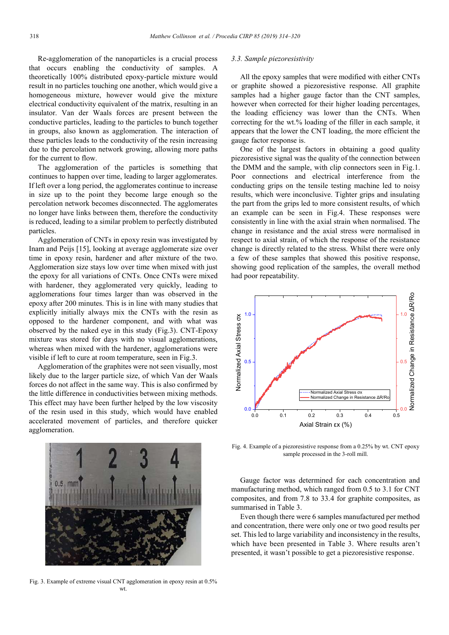Re-agglomeration of the nanoparticles is a crucial process that occurs enabling the conductivity of samples. A theoretically 100% distributed epoxy-particle mixture would result in no particles touching one another, which would give a homogeneous mixture, however would give the mixture electrical conductivity equivalent of the matrix, resulting in an insulator. Van der Waals forces are present between the conductive particles, leading to the particles to bunch together in groups, also known as agglomeration. The interaction of these particles leads to the conductivity of the resin increasing due to the percolation network growing, allowing more paths for the current to flow.

The agglomeration of the particles is something that continues to happen over time, leading to larger agglomerates. If left over a long period, the agglomerates continue to increase in size up to the point they become large enough so the percolation network becomes disconnected. The agglomerates no longer have links between them, therefore the conductivity is reduced, leading to a similar problem to perfectly distributed particles.

Agglomeration of CNTs in epoxy resin was investigated by Inam and Peijs [15], looking at average agglomerate size over time in epoxy resin, hardener and after mixture of the two. Agglomeration size stays low over time when mixed with just the epoxy for all variations of CNTs. Once CNTs were mixed with hardener, they agglomerated very quickly, leading to agglomerations four times larger than was observed in the epoxy after 200 minutes. This is in line with many studies that explicitly initially always mix the CNTs with the resin as opposed to the hardener component, and with what was observed by the naked eye in this study (Fig.3). CNT-Epoxy mixture was stored for days with no visual agglomerations, whereas when mixed with the hardener, agglomerations were visible if left to cure at room temperature, seen in Fig.3.

Agglomeration of the graphites were not seen visually, most likely due to the larger particle size, of which Van der Waals forces do not affect in the same way. This is also confirmed by the little difference in conductivities between mixing methods. This effect may have been further helped by the low viscosity of the resin used in this study, which would have enabled accelerated movement of particles, and therefore quicker agglomeration.



Fig. 3. Example of extreme visual CNT agglomeration in epoxy resin at 0.5% wt.

#### *3.3. Sample piezoresistivity*

All the epoxy samples that were modified with either CNTs or graphite showed a piezoresistive response. All graphite samples had a higher gauge factor than the CNT samples, however when corrected for their higher loading percentages, the loading efficiency was lower than the CNTs. When correcting for the wt.% loading of the filler in each sample, it appears that the lower the CNT loading, the more efficient the gauge factor response is.

One of the largest factors in obtaining a good quality piezoresistive signal was the quality of the connection between the DMM and the sample, with clip connectors seen in Fig.1. Poor connections and electrical interference from the conducting grips on the tensile testing machine led to noisy results, which were inconclusive. Tighter grips and insulating the part from the grips led to more consistent results, of which an example can be seen in Fig.4. These responses were consistently in line with the axial strain when normalised. The change in resistance and the axial stress were normalised in respect to axial strain, of which the response of the resistance change is directly related to the stress. Whilst there were only a few of these samples that showed this positive response, showing good replication of the samples, the overall method had poor repeatability.



Fig. 4. Example of a piezoresistive response from a 0.25% by wt. CNT epoxy sample processed in the 3-roll mill.

Gauge factor was determined for each concentration and manufacturing method, which ranged from 0.5 to 3.1 for CNT composites, and from 7.8 to 33.4 for graphite composites, as summarised in Table 3.

Even though there were 6 samples manufactured per method and concentration, there were only one or two good results per set. This led to large variability and inconsistency in the results, which have been presented in Table 3. Where results aren't presented, it wasn't possible to get a piezoresistive response.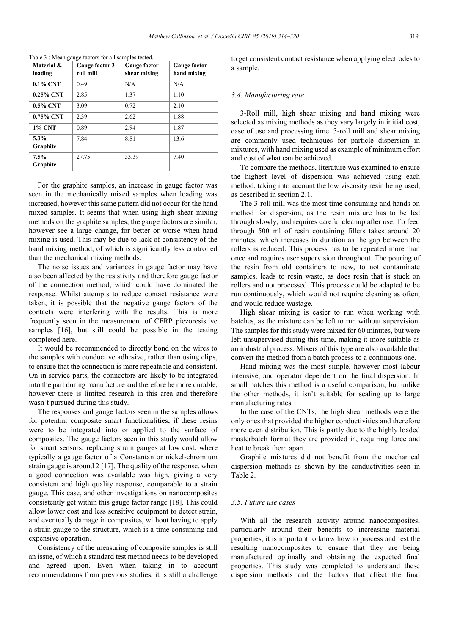| Material &<br>loading | Gauge factor 3-<br>roll mill | Gauge factor<br>shear mixing | <b>Gauge factor</b><br>hand mixing |
|-----------------------|------------------------------|------------------------------|------------------------------------|
| $0.1\%$ CNT           | 0.49                         | N/A                          | N/A                                |
| $0.25\%$ CNT          | 2.85                         | 1.37                         | 1.10                               |
| 0.5% CNT              | 3.09                         | 0.72                         | 2.10                               |
| $0.75\%$ CNT          | 2.39                         | 2.62                         | 1.88                               |
| <b>1% CNT</b>         | 0.89                         | 2.94                         | 1.87                               |
| 5.3%<br>Graphite      | 7.84                         | 8.81                         | 13.6                               |
| 7.5%<br>Graphite      | 27.75                        | 33.39                        | 7.40                               |

Table 3 : Mean gauge factors for all samples tested.

For the graphite samples, an increase in gauge factor was seen in the mechanically mixed samples when loading was increased, however this same pattern did not occur for the hand mixed samples. It seems that when using high shear mixing methods on the graphite samples, the gauge factors are similar, however see a large change, for better or worse when hand mixing is used. This may be due to lack of consistency of the hand mixing method, of which is significantly less controlled than the mechanical mixing methods.

The noise issues and variances in gauge factor may have also been affected by the resistivity and therefore gauge factor of the connection method, which could have dominated the response. Whilst attempts to reduce contact resistance were taken, it is possible that the negative gauge factors of the contacts were interfering with the results. This is more frequently seen in the measurement of CFRP piezoresistive samples [16], but still could be possible in the testing completed here.

It would be recommended to directly bond on the wires to the samples with conductive adhesive, rather than using clips, to ensure that the connection is more repeatable and consistent. On in service parts, the connectors are likely to be integrated into the part during manufacture and therefore be more durable, however there is limited research in this area and therefore wasn't pursued during this study.

The responses and gauge factors seen in the samples allows for potential composite smart functionalities, if these resins were to be integrated into or applied to the surface of composites. The gauge factors seen in this study would allow for smart sensors, replacing strain gauges at low cost, where typically a gauge factor of a Constantan or nickel-chromium strain gauge is around 2 [17]. The quality of the response, when a good connection was available was high, giving a very consistent and high quality response, comparable to a strain gauge. This case, and other investigations on nanocomposites consistently get within this gauge factor range [18]. This could allow lower cost and less sensitive equipment to detect strain, and eventually damage in composites, without having to apply a strain gauge to the structure, which is a time consuming and expensive operation.

Consistency of the measuring of composite samples is still an issue, of which a standard test method needs to be developed and agreed upon. Even when taking in to account recommendations from previous studies, it is still a challenge to get consistent contact resistance when applying electrodes to a sample.

## *3.4. Manufacturing rate*

3-Roll mill, high shear mixing and hand mixing were selected as mixing methods as they vary largely in initial cost, ease of use and processing time. 3-roll mill and shear mixing are commonly used techniques for particle dispersion in mixtures, with hand mixing used as example of minimum effort and cost of what can be achieved.

To compare the methods, literature was examined to ensure the highest level of dispersion was achieved using each method, taking into account the low viscosity resin being used, as described in section 2.1.

The 3-roll mill was the most time consuming and hands on method for dispersion, as the resin mixture has to be fed through slowly, and requires careful cleanup after use. To feed through 500 ml of resin containing fillers takes around 20 minutes, which increases in duration as the gap between the rollers is reduced. This process has to be repeated more than once and requires user supervision throughout. The pouring of the resin from old containers to new, to not contaminate samples, leads to resin waste, as does resin that is stuck on rollers and not processed. This process could be adapted to be run continuously, which would not require cleaning as often, and would reduce wastage.

High shear mixing is easier to run when working with batches, as the mixture can be left to run without supervision. The samples for this study were mixed for 60 minutes, but were left unsupervised during this time, making it more suitable as an industrial process. Mixers of this type are also available that convert the method from a batch process to a continuous one.

Hand mixing was the most simple, however most labour intensive, and operator dependent on the final dispersion. In small batches this method is a useful comparison, but unlike the other methods, it isn't suitable for scaling up to large manufacturing rates.

In the case of the CNTs, the high shear methods were the only ones that provided the higher conductivities and therefore more even distribution. This is partly due to the highly loaded masterbatch format they are provided in, requiring force and heat to break them apart.

Graphite mixtures did not benefit from the mechanical dispersion methods as shown by the conductivities seen in Table 2.

### *3.5. Future use cases*

With all the research activity around nanocomposites, particularly around their benefits to increasing material properties, it is important to know how to process and test the resulting nanocomposites to ensure that they are being manufactured optimally and obtaining the expected final properties. This study was completed to understand these dispersion methods and the factors that affect the final